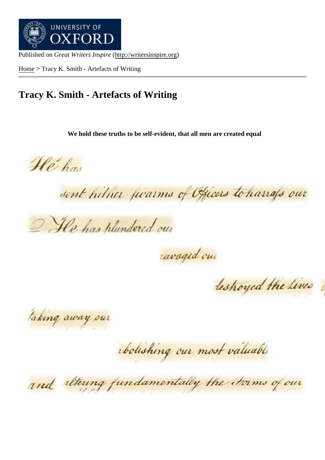Home > Tracy K. Smith - Artefacts of Writing

## [Trac](http://writersinspire.org/)y K. Smith - Artefacts of Writing

We hold these truths to be self-evident, that all men are created equal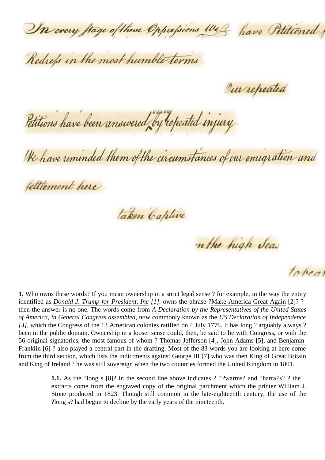1. Who owns these words? If you mean ownership in a strict legal sense ? for example, in the way the entity identified asDonald J. Trump for President, In[6]. owns the phrase Wake America Great Agai[2]? ? then the answer is no one. The words come tho Declaration by the Representatives of the United States of America, in General Congress assembled w commonly known as the Declaration of Independence [3] , which t[he Congress of the 13 American c](https://trademarks.justia.com/857/83/make-america-great-85783371.html)olonies ratified on 4 [July 1776. It has long ? ar](https://en.wikipedia.org/wiki/Make_America_Great_Again)guably always ? been in the public domain. Ownership in a looser sense could, then, be said to lie with Congress, or with the 56 original signatories, the most famous of whorthomas Jeffersom4], [John Adams\[5\], and Benjamin](https://en.wikipedia.org/wiki/United_States_Declaration_of_Independence) Franklin [6] ? also played a central part in the drafting. Most of the 83 words you are looking at here come from the third section, which lists the indictments aga®etrge III[7] who was then King of Great Britain and King of Ireland ? he was still sovereign whe[n the two countrie](https://en.wikipedia.org/wiki/Thomas_Jefferson)s fo[rmed the Un](https://en.wikipedia.org/wiki/John_Adams)ited Kin[gdom in 18](https://en.wikipedia.org/wiki/Benjamin_Franklin)01.

> 1.1. As the Pong  $s[8]$ ? in the second line above indicates? Wa man ? and ?harra?? the extracts come from the engraved copy [of the orig](https://en.wikipedia.org/wiki/George_III_of_the_United_Kingdom)inal parchment which the printer William J. Stone produced in 1823. Though still common in the late-eighteenth century, the use of the ?long s? ha[d begu](https://en.wikipedia.org/wiki/Long_s)n to decline by the early years of the nineteenth.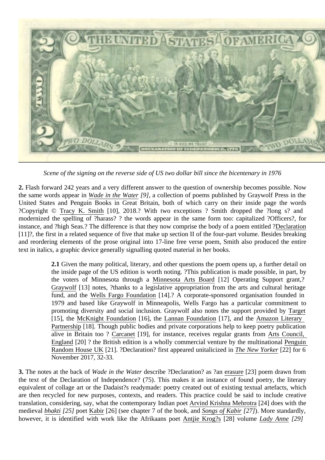Scene of the signing on the reverse side of US two dollar bill since the bicentenary in 1976

2. Flash forward 242 years and a very different answer to the question of ownership becomes possible. Now the same words appear Whade in the Wate[9], a collection of poems published by Graywolf Press in the United States and Penguin Books in Great Britain, both of which carry on their inside page the words ?Copyright © Tracy K. Smith [10], 2018.? With two exceptions ? Smith dropped the ?long s? and modernized the spellin[g of ?harass? ? t](https://www.graywolfpress.org/books/wade-water)he words appear in the same form too: capitalized ?Officers?, for instance, and ?high Seas.? The difference is that they now comprise the body of a poem Decutional [11]?, the first [in a related seq](https://en.wikipedia.org/wiki/Tracy_K._Smith)uence of five that make up section II of the four-part volume. Besides breaking and reordering elements of the prose original into 17-line free verse poem, Smith also produced the entire text in italics, a graphic device generally signalling quoted material in her books.

> 2.1 Given the many political, literary, and other questions the poem opens up, a further detail on the inside page of the US edition is worth noting. ?This publication is made possible, in part, by the voters of Minnesota through Mainnesota Arts Board 12] Operating Support grant,? Graywolf [13] notes, ?thanks to a legislative appropriation from the arts and cultural heritage fund, and the Wells Fargo Foundation14].? A corporate-sponsored organisation founded in 1979 and based like Graywolf in [Minneapolis, Wells F](http://www.arts.state.mn.us/)argo has a particular commitment to [promotin](https://www.graywolfpress.org/)g diversity and social inclusion. Graywolf also notes the support provided rget [15], the McK[night Foundation\[16\], th](https://www.wellsfargo.com/about/)e Lannan Foundation[17], and the Amazon Literary Partnership<sup>[18]</sup>. Though public bodies and private corporations help to keep poetry publication alive in Britain too ?Carcanet[19], for instance, receives regular grants from C[ouncil,](https://www.target.com/) England[\[20\] ? the British edit](https://www.mcknight.org/)ion is a [wholly commercial v](https://lannan.org/)enture by the multinatibeaguin  $R$ andom House UK<sup>21</sup>]. ?Declaration? first appeared unitalicized the New Yorker<sup>22</sup>] for 6 November 2017, 32-[33.](https://www.carcanet.co.uk/)

3. The not[es at the](https://www.artscouncil.org.uk/) back of ade in the Wated escribe ?Declaration? as ?ansure[23] poem dr[awn from](https://www.penguin.co.uk/company/about-us.html) the text of [the Declaration of](https://www.penguin.co.uk/company/about-us.html) Independence? (75). This makes it an inst[ance of found](https://www.newyorker.com/magazine/2017/11/06/declaration) poetry, the literary equivalent of collage art or the Dadaist?s readymade: poetry created out of existing textual artefacts, which are then recycled for new purposes, contexts, and readers. This pra[ctice co](https://en.wikipedia.org/wiki/Erasure_(artform))uld be said to include creativ translation, considering, say, what the contemporary Indian poetd Krishna Mehrotra[24] does with the medievalbhakti[25] poet Kabir [26] (see chapter 7 of the book, and angs of Kabit[27]). More standardly, however, it is identified with work like the Afrikaans poentifie  $K$ rog?s[28] volume Lady Anne[29]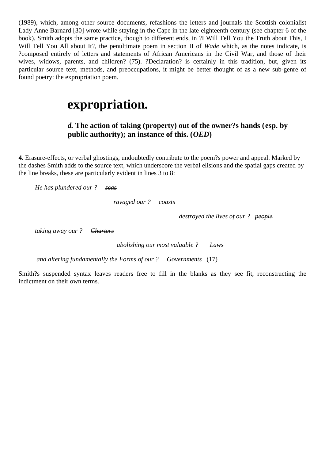Lady Anne Barnar<sub>(630</sub>) wrote while staying in the Cape in the late-eighteenth century (see chapter 6 of the book). Smith adopts the same practice, though to different ends, in ?I Will Tell You the Truth about This, I Will Tell You All about It?, the penultimate poem in section II Wade which, as the notes indicate, is [?composed entire](https://en.wikipedia.org/wiki/Lady_Anne_Barnard)ly of letters and statements of African Americans in the Civil War, and those of their wives, widows, parents, and children? (75). ?Declaration? is certainly in this tradition, but, given its particular source text, methods, and preoccupations, it might be better thought of as a new sub-genre o found poetry: the expropriation poem.

## expropriation.

d. The action of taking (property) out of the owner?s hands esp. by public authority); an instance of this. (OED)

4. Erasure-effects, or verbal ghostings, undoubtedly contribute to the poem?s power and appeal. Marked by the dashes Smith adds to the source text, which underscore the verbal elisions and the spatial gaps created by the line breaks, these are particularly evident in lines 3 to 8:

He has plundered our ? seas

ravaged ourcoasts

destroyed the lives  $\phi$  and  $\theta$ 

taking away our ? Charters

abolishing our most valuable Laws

and altering fundamentally the Forms of our Governments (17)

Smith?s suspended syntax leaves readers free to fill in the blanks as they see fit, reconstructing the indictment on their own terms.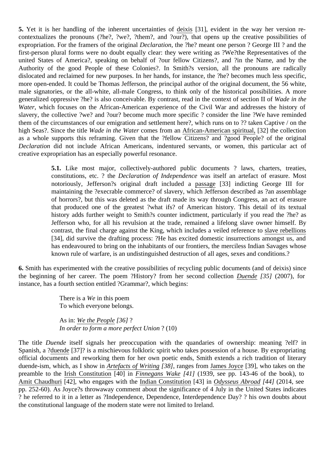5. Yet it is her handling of the inherent uncertaintiesdeixis [31], evident in the way her version recontextualizes the pronouns (?he?, ?we?, ?them?, and ?our?), that opens up the creative possibilities expropriation. For the framers of the origined claration, the ?he? meant one person ? George III ? and the first-person plural forms were no doubt equally clear: [they w](https://en.wikipedia.org/wiki/Deixis)ere writing as ?We?the Representatives of the united States of America?, speaking on behalf of ?our fellow Citizens?, and ?in the Name, and by the Authority of the good People of these Colonies?. In Smith?s version, all the pronouns are radically dislocated and reclaimed for new purposes. In her hands, for instance, the ?he? becomes much less specific, more open-ended. It could be Thomas Jefferson, the principal author of the original document, the 56 white, male signatories, or the all-white, all-male Congress, to think only of the historical possibilities. A more generalized oppressive ?he? is also conceivable. By contrast, read in the context of sectional in the Water, which focuses on the African-American experience of the Civil War and addresses the history of slavery, the collective ?we? and ?our? become much more specific ? consider the line ?We have reminde them of the circumstances of our emigration and settlement here?, which runs on to ?? taken Captive / on the high Seas?. Since the title adde in the Water comes from an African-American spiritual [32] the collection as a whole supports this reframing. Given that the ?fellow Citizens? and ?good People? of the original Declaration did not include African Americans, indentured servants, or women, this particular act of creative expropriation has an especially powerful resona[nce.](https://en.wikipedia.org/wiki/Wade_in_the_Water)

> 5.1. Like most major, collectively-authored public documents ? laws, charters, treaties, constitutions, etc. ? the Declaration of Independence as itself an artefact of erasure. Most notoriously, Jefferson?s original draft included passage[33] indicting George III for maintaining the ?execrable commerce? of slavery, which Jefferson described as ?an assemblag of horrors?, but this was deleted as the draft made its way through Congress, an act of erasure that produced one of the greatest ?what ifs? [of Amer](https://www.blackpast.org/african-american-history/declaration-independence-and-debate-over-slavery/)ican history. This detail of its textual history adds further weight to Smith?s counter indictment, particularly if you read the ?he? as Jefferson who, for all his revulsion at the trade, remained a lifelong slave owner himself. By contrast, the final charge against the King, which includes a veiled referesles earebellions [34], did survive the drafting process: ?He has excited domestic insurrections amongst us, and has endeavoured to bring on the inhabitants of our frontiers, the merciless Indian Savages whose known rule of warfare, is an undistinguished destruction of all ages, sexe[s and conditions](https://www.pbs.org/wnet/african-americans-many-rivers-to-cross/history/did-african-american-slaves-rebel/).?

6. Smith has experimented with the creative possibilities of recycling public documents (and of deixis) since the beginning of her career. The poem ?History? from her second collection de [35] (2007), for instance, has a fourth section entitled ?Grammar?, which begins:

> There is Mate in this poem To which everyone belongs.

As in We the Peopl<sup>[36]</sup> ? In order to form a more perfect  $U \cap R O(10)$ 

The title Duende itself signals her preoccupation with the quandaries of ownership: meaning ?elf? in Spanish, a ?duende[3[7\]? is a misch](https://constitutionus.com/)ievous folkloric spirit who takes possession of a house. By expropriating official documents and reworking them for her own poetic ends, Smith extends a rich tradition of literary duende-ism, which, as I show Artefacts of Writing 38], ranges from James Joyc<sup>39</sup>g, who takes on the preamble to the rish Constitution[40] in Finnegans Wak $[41]$  (1939, see pp. 143-46 of the book), to Amit Chaudhuri<sup>[42]</sup>, who engages with the dian Constitution<sup>[43]</sup> in Odysseus Abroad<sup>44</sup>] (2014, see pp. 252-60). As Joyce?s thro[waway comment ab](https://global.oup.com/academic/product/artefacts-of-writing-9780198725152?cc=gb&lang=en&)out the significa[nce of 4 July](https://en.wikipedia.org/wiki/James_Joyce) in the United States indicates ? he referred t[o it in a letter as](http://www.irishstatutebook.ie/eli/cons/en#part1) ?Indep[endence, Depen](https://en.wikipedia.org/wiki/Finnegans_Wake)dence, Interdependence Day? ? his own doubts about [the constitution](https://en.wikipedia.org/wiki/Amit_Chaudhuri)al language of the modern [state were not lim](https://www.india.gov.in/my-government/constitution-india/constitution-india-full-text)ited to I[reland.](https://oneworld-publications.com/odysseus-abroad.html)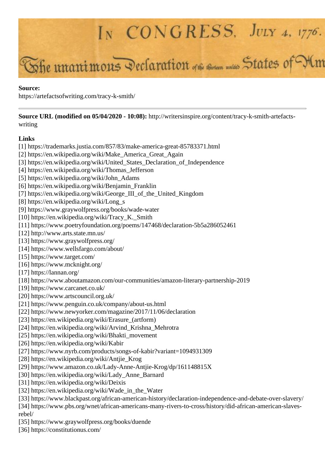

https://artefactsofwriting.com/tracy-k-smith/

**Source URL (modified on 05/04/2020 - 10:08):** http://writersinspire.org/content/tracy-k-smith-artefactswriting

## **Links**

- [1] https://trademarks.justia.com/857/83/make-america-great-85783371.html
- [2] https://en.wikipedia.org/wiki/Make\_America\_Great\_Again
- [3] https://en.wikipedia.org/wiki/United\_States\_Declaration\_of\_Independence
- [4] https://en.wikipedia.org/wiki/Thomas\_Jefferson
- [5] https://en.wikipedia.org/wiki/John\_Adams
- [6] https://en.wikipedia.org/wiki/Benjamin\_Franklin
- [7] https://en.wikipedia.org/wiki/George\_III\_of\_the\_United\_Kingdom
- [8] https://en.wikipedia.org/wiki/Long\_s
- [9] https://www.graywolfpress.org/books/wade-water
- [10] https://en.wikipedia.org/wiki/Tracy\_K.\_Smith
- [11] https://www.poetryfoundation.org/poems/147468/declaration-5b5a286052461
- [12] http://www.arts.state.mn.us/
- [13] https://www.graywolfpress.org/
- [14] https://www.wellsfargo.com/about/
- [15] https://www.target.com/
- [16] https://www.mcknight.org/
- [17] https://lannan.org/
- [18] https://www.aboutamazon.com/our-communities/amazon-literary-partnership-2019
- [19] https://www.carcanet.co.uk/
- [20] https://www.artscouncil.org.uk/
- [21] https://www.penguin.co.uk/company/about-us.html
- [22] https://www.newyorker.com/magazine/2017/11/06/declaration
- [23] https://en.wikipedia.org/wiki/Erasure (artform)
- [24] https://en.wikipedia.org/wiki/Arvind\_Krishna\_Mehrotra
- [25] https://en.wikipedia.org/wiki/Bhakti\_movement
- [26] https://en.wikipedia.org/wiki/Kabir
- [27] https://www.nyrb.com/products/songs-of-kabir?variant=1094931309
- [28] https://en.wikipedia.org/wiki/Antjie\_Krog
- [29] https://www.amazon.co.uk/Lady-Anne-Antjie-Krog/dp/161148815X
- [30] https://en.wikipedia.org/wiki/Lady\_Anne\_Barnard
- [31] https://en.wikipedia.org/wiki/Deixis
- [32] https://en.wikipedia.org/wiki/Wade\_in\_the\_Water
- [33] https://www.blackpast.org/african-american-history/declaration-independence-and-debate-over-slavery/ [34] https://www.pbs.org/wnet/african-americans-many-rivers-to-cross/history/did-african-american-slaves-

rebel/

- [35] https://www.graywolfpress.org/books/duende
- [36] https://constitutionus.com/